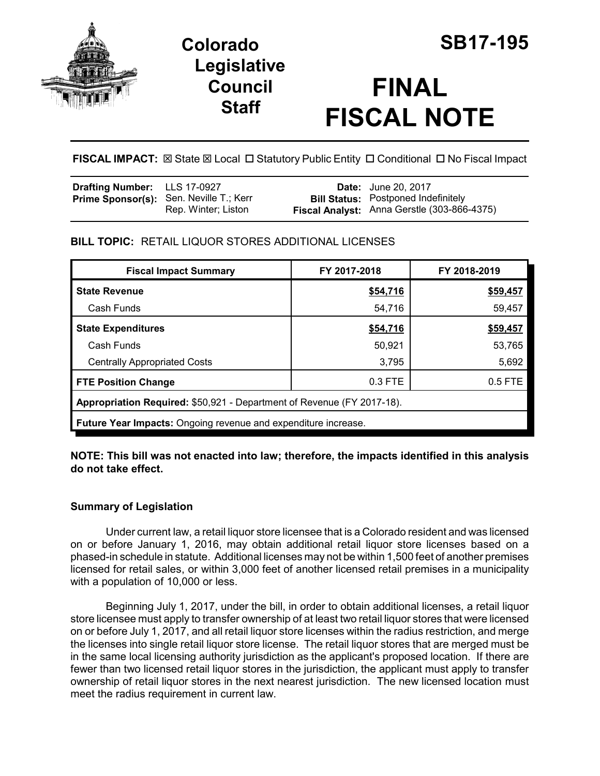

## **Legislative Council Staff**

# **FINAL FISCAL NOTE**

**FISCAL IMPACT:**  $\boxtimes$  **State**  $\boxtimes$  **Local □ Statutory Public Entity □ Conditional □ No Fiscal Impact** 

| Drafting Number: LLS 17-0927 |                                                                       | <b>Date:</b> June 20, 2017                                                                |
|------------------------------|-----------------------------------------------------------------------|-------------------------------------------------------------------------------------------|
|                              | <b>Prime Sponsor(s):</b> Sen. Neville T.; Kerr<br>Rep. Winter; Liston | <b>Bill Status:</b> Postponed Indefinitely<br>Fiscal Analyst: Anna Gerstle (303-866-4375) |

## **BILL TOPIC:** RETAIL LIQUOR STORES ADDITIONAL LICENSES

| <b>Fiscal Impact Summary</b>                                           | FY 2017-2018 | FY 2018-2019 |  |  |  |
|------------------------------------------------------------------------|--------------|--------------|--|--|--|
| <b>State Revenue</b>                                                   | \$54,716     | \$59,457     |  |  |  |
| Cash Funds                                                             | 54,716       | 59,457       |  |  |  |
| <b>State Expenditures</b>                                              | \$54,716     | \$59,457     |  |  |  |
| Cash Funds                                                             | 50,921       | 53,765       |  |  |  |
| <b>Centrally Appropriated Costs</b>                                    | 3,795        | 5,692        |  |  |  |
| <b>FTE Position Change</b>                                             | 0.3 FTE      | $0.5$ FTE    |  |  |  |
| Appropriation Required: \$50,921 - Department of Revenue (FY 2017-18). |              |              |  |  |  |
| <b>Future Year Impacts:</b> Ongoing revenue and expenditure increase.  |              |              |  |  |  |

**NOTE: This bill was not enacted into law; therefore, the impacts identified in this analysis do not take effect.**

### **Summary of Legislation**

Under current law, a retail liquor store licensee that is a Colorado resident and was licensed on or before January 1, 2016, may obtain additional retail liquor store licenses based on a phased-in schedule in statute. Additional licenses may not be within 1,500 feet of another premises licensed for retail sales, or within 3,000 feet of another licensed retail premises in a municipality with a population of 10,000 or less.

Beginning July 1, 2017, under the bill, in order to obtain additional licenses, a retail liquor store licensee must apply to transfer ownership of at least two retail liquor stores that were licensed on or before July 1, 2017, and all retail liquor store licenses within the radius restriction, and merge the licenses into single retail liquor store license. The retail liquor stores that are merged must be in the same local licensing authority jurisdiction as the applicant's proposed location. If there are fewer than two licensed retail liquor stores in the jurisdiction, the applicant must apply to transfer ownership of retail liquor stores in the next nearest jurisdiction. The new licensed location must meet the radius requirement in current law.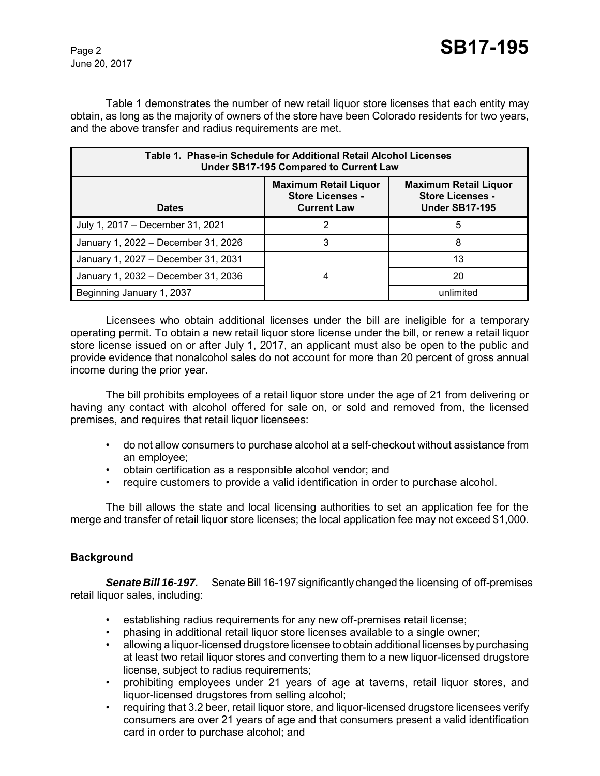June 20, 2017

Table 1 demonstrates the number of new retail liquor store licenses that each entity may obtain, as long as the majority of owners of the store have been Colorado residents for two years, and the above transfer and radius requirements are met.

| Table 1. Phase-in Schedule for Additional Retail Alcohol Licenses<br>Under SB17-195 Compared to Current Law |                                                                               |                                                                                  |  |  |  |
|-------------------------------------------------------------------------------------------------------------|-------------------------------------------------------------------------------|----------------------------------------------------------------------------------|--|--|--|
| <b>Dates</b>                                                                                                | <b>Maximum Retail Liquor</b><br><b>Store Licenses -</b><br><b>Current Law</b> | <b>Maximum Retail Liquor</b><br><b>Store Licenses -</b><br><b>Under SB17-195</b> |  |  |  |
| July 1, 2017 - December 31, 2021                                                                            |                                                                               | 5                                                                                |  |  |  |
| January 1, 2022 - December 31, 2026                                                                         | 3                                                                             |                                                                                  |  |  |  |
| January 1, 2027 - December 31, 2031                                                                         |                                                                               | 13                                                                               |  |  |  |
| January 1, 2032 - December 31, 2036                                                                         | 4                                                                             | 20                                                                               |  |  |  |
| Beginning January 1, 2037                                                                                   |                                                                               | unlimited                                                                        |  |  |  |

Licensees who obtain additional licenses under the bill are ineligible for a temporary operating permit. To obtain a new retail liquor store license under the bill, or renew a retail liquor store license issued on or after July 1, 2017, an applicant must also be open to the public and provide evidence that nonalcohol sales do not account for more than 20 percent of gross annual income during the prior year.

The bill prohibits employees of a retail liquor store under the age of 21 from delivering or having any contact with alcohol offered for sale on, or sold and removed from, the licensed premises, and requires that retail liquor licensees:

- do not allow consumers to purchase alcohol at a self-checkout without assistance from an employee;
- obtain certification as a responsible alcohol vendor; and
- require customers to provide a valid identification in order to purchase alcohol.

The bill allows the state and local licensing authorities to set an application fee for the merge and transfer of retail liquor store licenses; the local application fee may not exceed \$1,000.

#### **Background**

*Senate Bill 16-197.* Senate Bill 16-197 significantly changed the licensing of off-premises retail liquor sales, including:

- establishing radius requirements for any new off-premises retail license;
- phasing in additional retail liquor store licenses available to a single owner;
- allowing a liquor-licensed drugstore licensee to obtain additional licenses by purchasing at least two retail liquor stores and converting them to a new liquor-licensed drugstore license, subject to radius requirements;
- prohibiting employees under 21 years of age at taverns, retail liquor stores, and liquor-licensed drugstores from selling alcohol;
- requiring that 3.2 beer, retail liquor store, and liquor-licensed drugstore licensees verify consumers are over 21 years of age and that consumers present a valid identification card in order to purchase alcohol; and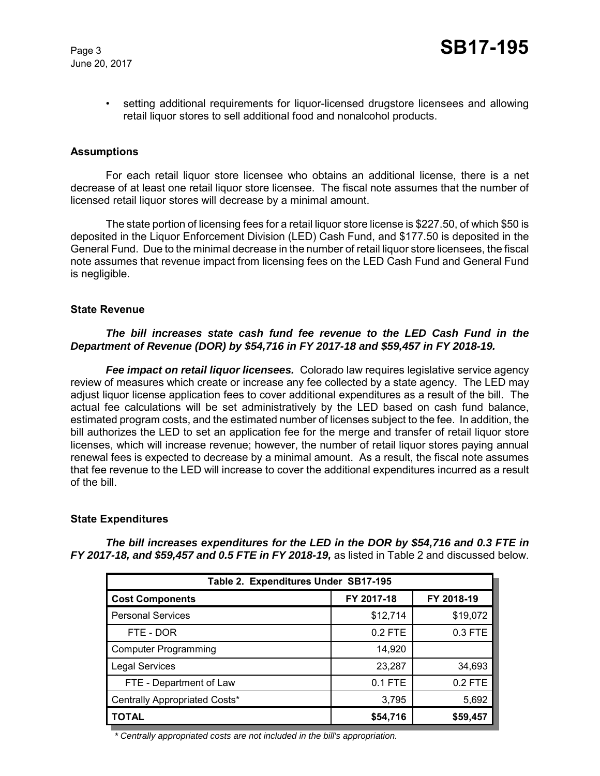

• setting additional requirements for liquor-licensed drugstore licensees and allowing retail liquor stores to sell additional food and nonalcohol products.

#### **Assumptions**

For each retail liquor store licensee who obtains an additional license, there is a net decrease of at least one retail liquor store licensee. The fiscal note assumes that the number of licensed retail liquor stores will decrease by a minimal amount.

The state portion of licensing fees for a retail liquor store license is \$227.50, of which \$50 is deposited in the Liquor Enforcement Division (LED) Cash Fund, and \$177.50 is deposited in the General Fund. Due to the minimal decrease in the number of retail liquor store licensees, the fiscal note assumes that revenue impact from licensing fees on the LED Cash Fund and General Fund is negligible.

#### **State Revenue**

#### *The bill increases state cash fund fee revenue to the LED Cash Fund in the Department of Revenue (DOR) by \$54,716 in FY 2017-18 and \$59,457 in FY 2018-19.*

*Fee impact on retail liquor licensees.* Colorado law requires legislative service agency review of measures which create or increase any fee collected by a state agency. The LED may adjust liquor license application fees to cover additional expenditures as a result of the bill. The actual fee calculations will be set administratively by the LED based on cash fund balance, estimated program costs, and the estimated number of licenses subject to the fee. In addition, the bill authorizes the LED to set an application fee for the merge and transfer of retail liquor store licenses, which will increase revenue; however, the number of retail liquor stores paying annual renewal fees is expected to decrease by a minimal amount. As a result, the fiscal note assumes that fee revenue to the LED will increase to cover the additional expenditures incurred as a result of the bill.

#### **State Expenditures**

| Table 2. Expenditures Under SB17-195 |            |            |  |  |  |  |
|--------------------------------------|------------|------------|--|--|--|--|
| <b>Cost Components</b>               | FY 2017-18 | FY 2018-19 |  |  |  |  |
| <b>Personal Services</b>             | \$12,714   | \$19,072   |  |  |  |  |
| FTE - DOR                            | $0.2$ FTE  | 0.3 FTE    |  |  |  |  |
| <b>Computer Programming</b>          | 14,920     |            |  |  |  |  |
| <b>Legal Services</b>                | 23,287     | 34,693     |  |  |  |  |
| FTE - Department of Law              | 0.1 FTE    | $0.2$ FTE  |  |  |  |  |
| Centrally Appropriated Costs*        | 3,795      | 5,692      |  |  |  |  |
| <b>TOTAL</b>                         | \$54,716   | \$59,457   |  |  |  |  |

*The bill increases expenditures for the LED in the DOR by \$54,716 and 0.3 FTE in FY 2017-18, and \$59,457 and 0.5 FTE in FY 2018-19,* as listed in Table 2 and discussed below.

*\* Centrally appropriated costs are not included in the bill's appropriation.*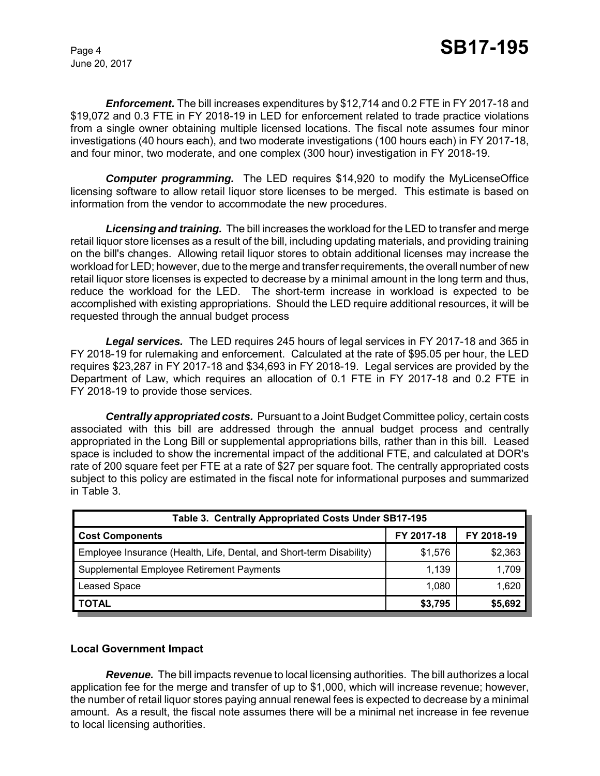June 20, 2017

*Enforcement.* The bill increases expenditures by \$12,714 and 0.2 FTE in FY 2017-18 and \$19,072 and 0.3 FTE in FY 2018-19 in LED for enforcement related to trade practice violations from a single owner obtaining multiple licensed locations. The fiscal note assumes four minor investigations (40 hours each), and two moderate investigations (100 hours each) in FY 2017-18, and four minor, two moderate, and one complex (300 hour) investigation in FY 2018-19.

*Computer programming.*The LED requires \$14,920 to modify the MyLicenseOffice licensing software to allow retail liquor store licenses to be merged. This estimate is based on information from the vendor to accommodate the new procedures.

*Licensing and training.* The bill increases the workload for the LED to transfer and merge retail liquor store licenses as a result of the bill, including updating materials, and providing training on the bill's changes. Allowing retail liquor stores to obtain additional licenses may increase the workload for LED; however, due to the merge and transfer requirements, the overall number of new retail liquor store licenses is expected to decrease by a minimal amount in the long term and thus, reduce the workload for the LED. The short-term increase in workload is expected to be accomplished with existing appropriations. Should the LED require additional resources, it will be requested through the annual budget process

*Legal services.* The LED requires 245 hours of legal services in FY 2017-18 and 365 in FY 2018-19 for rulemaking and enforcement. Calculated at the rate of \$95.05 per hour, the LED requires \$23,287 in FY 2017-18 and \$34,693 in FY 2018-19. Legal services are provided by the Department of Law, which requires an allocation of 0.1 FTE in FY 2017-18 and 0.2 FTE in FY 2018-19 to provide those services.

*Centrally appropriated costs.* Pursuant to a Joint Budget Committee policy, certain costs associated with this bill are addressed through the annual budget process and centrally appropriated in the Long Bill or supplemental appropriations bills, rather than in this bill. Leased space is included to show the incremental impact of the additional FTE, and calculated at DOR's rate of 200 square feet per FTE at a rate of \$27 per square foot. The centrally appropriated costs subject to this policy are estimated in the fiscal note for informational purposes and summarized in Table 3.

| Table 3. Centrally Appropriated Costs Under SB17-195                 |            |            |  |  |  |
|----------------------------------------------------------------------|------------|------------|--|--|--|
| <b>Cost Components</b>                                               | FY 2017-18 | FY 2018-19 |  |  |  |
| Employee Insurance (Health, Life, Dental, and Short-term Disability) | \$1,576    | \$2,363    |  |  |  |
| Supplemental Employee Retirement Payments                            | 1,139      | 1,709      |  |  |  |
| <b>Leased Space</b>                                                  | 1.080      | 1,620      |  |  |  |
| <b>TOTAL</b>                                                         | \$3,795    | \$5,692    |  |  |  |

#### **Local Government Impact**

*Revenue.* The bill impacts revenue to local licensing authorities. The bill authorizes a local application fee for the merge and transfer of up to \$1,000, which will increase revenue; however, the number of retail liquor stores paying annual renewal fees is expected to decrease by a minimal amount. As a result, the fiscal note assumes there will be a minimal net increase in fee revenue to local licensing authorities.